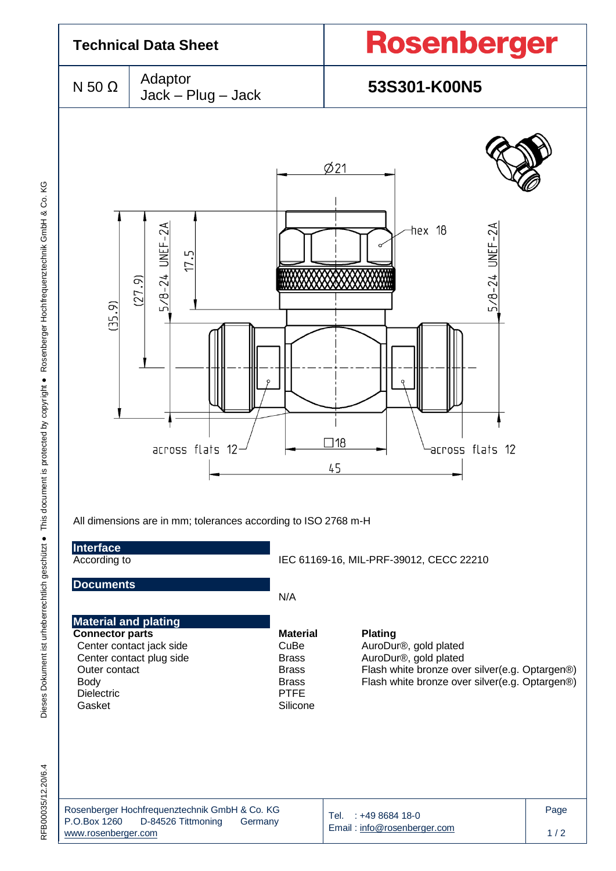